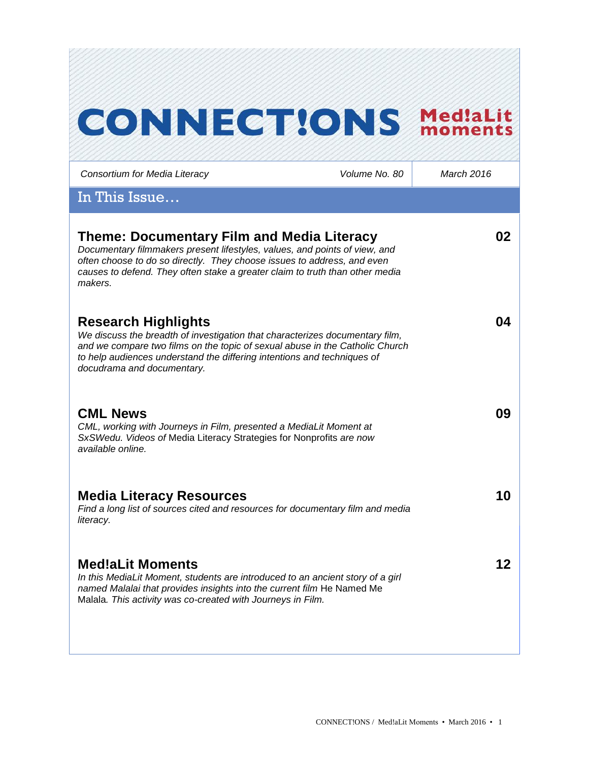# **CONNECT!ONS Med!aLit**

*Consortium for Media Literacy Volume No. 80 March 2016*

In This Issue…

| Theme: Documentary Film and Media Literacy<br>Documentary filmmakers present lifestyles, values, and points of view, and<br>often choose to do so directly. They choose issues to address, and even<br>causes to defend. They often stake a greater claim to truth than other media<br>makers.      | 02 |
|-----------------------------------------------------------------------------------------------------------------------------------------------------------------------------------------------------------------------------------------------------------------------------------------------------|----|
| <b>Research Highlights</b><br>We discuss the breadth of investigation that characterizes documentary film,<br>and we compare two films on the topic of sexual abuse in the Catholic Church<br>to help audiences understand the differing intentions and techniques of<br>docudrama and documentary. | 04 |
| <b>CML News</b><br>CML, working with Journeys in Film, presented a MediaLit Moment at<br>SxSWedu. Videos of Media Literacy Strategies for Nonprofits are now<br>available online.                                                                                                                   | 09 |
| <b>Media Literacy Resources</b><br>Find a long list of sources cited and resources for documentary film and media<br>literacy.                                                                                                                                                                      | 10 |
| <b>Med!aLit Moments</b><br>In this MediaLit Moment, students are introduced to an ancient story of a girl<br>named Malalai that provides insights into the current film He Named Me<br>Malala. This activity was co-created with Journeys in Film.                                                  | 12 |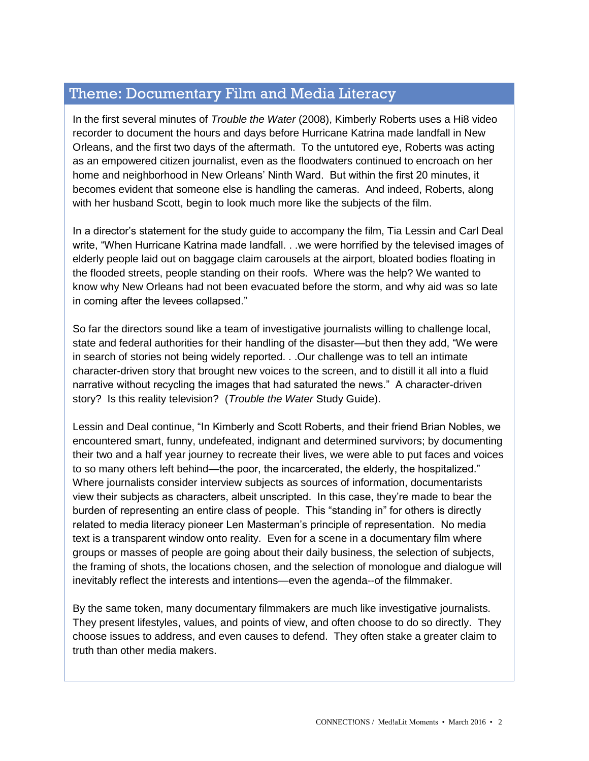# Theme: Documentary Film and Media Literacy

In the first several minutes of *Trouble the Water* (2008), Kimberly Roberts uses a Hi8 video recorder to document the hours and days before Hurricane Katrina made landfall in New Orleans, and the first two days of the aftermath. To the untutored eye, Roberts was acting as an empowered citizen journalist, even as the floodwaters continued to encroach on her home and neighborhood in New Orleans' Ninth Ward. But within the first 20 minutes, it becomes evident that someone else is handling the cameras. And indeed, Roberts, along with her husband Scott, begin to look much more like the subjects of the film.

In a director's statement for the study guide to accompany the film, Tia Lessin and Carl Deal write, "When Hurricane Katrina made landfall. . .we were horrified by the televised images of elderly people laid out on baggage claim carousels at the airport, bloated bodies floating in the flooded streets, people standing on their roofs. Where was the help? We wanted to know why New Orleans had not been evacuated before the storm, and why aid was so late in coming after the levees collapsed."

So far the directors sound like a team of investigative journalists willing to challenge local, state and federal authorities for their handling of the disaster—but then they add, "We were in search of stories not being widely reported. . .Our challenge was to tell an intimate character-driven story that brought new voices to the screen, and to distill it all into a fluid narrative without recycling the images that had saturated the news." A character-driven story? Is this reality television? (*Trouble the Water* Study Guide).

Lessin and Deal continue, "In Kimberly and Scott Roberts, and their friend Brian Nobles, we encountered smart, funny, undefeated, indignant and determined survivors; by documenting their two and a half year journey to recreate their lives, we were able to put faces and voices to so many others left behind—the poor, the incarcerated, the elderly, the hospitalized." Where journalists consider interview subjects as sources of information, documentarists view their subjects as characters, albeit unscripted. In this case, they're made to bear the burden of representing an entire class of people. This "standing in" for others is directly related to media literacy pioneer Len Masterman's principle of representation. No media text is a transparent window onto reality. Even for a scene in a documentary film where groups or masses of people are going about their daily business, the selection of subjects, the framing of shots, the locations chosen, and the selection of monologue and dialogue will inevitably reflect the interests and intentions—even the agenda--of the filmmaker.

By the same token, many documentary filmmakers are much like investigative journalists. They present lifestyles, values, and points of view, and often choose to do so directly. They choose issues to address, and even causes to defend. They often stake a greater claim to truth than other media makers.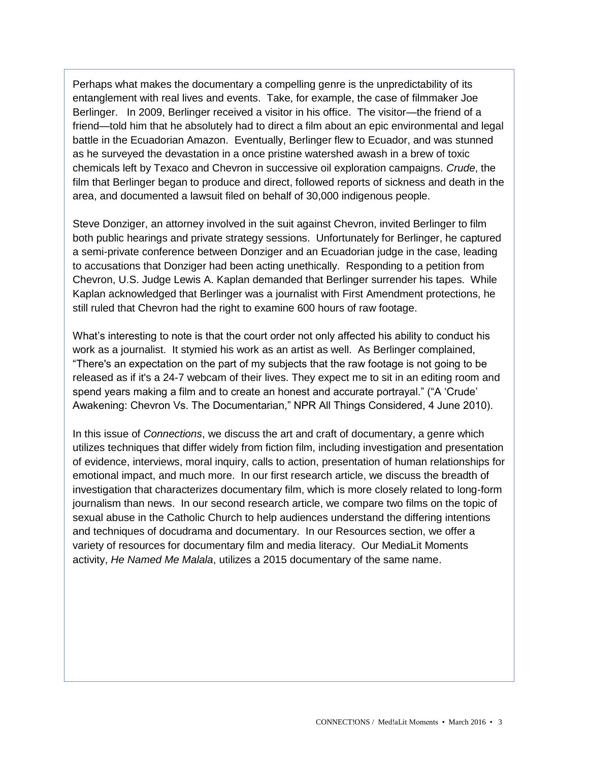Perhaps what makes the documentary a compelling genre is the unpredictability of its entanglement with real lives and events. Take, for example, the case of filmmaker Joe Berlinger. In 2009, Berlinger received a visitor in his office. The visitor—the friend of a friend—told him that he absolutely had to direct a film about an epic environmental and legal battle in the Ecuadorian Amazon. Eventually, Berlinger flew to Ecuador, and was stunned as he surveyed the devastation in a once pristine watershed awash in a brew of toxic chemicals left by Texaco and Chevron in successive oil exploration campaigns. *Crude*, the film that Berlinger began to produce and direct, followed reports of sickness and death in the area, and documented a lawsuit filed on behalf of 30,000 indigenous people.

Steve Donziger, an attorney involved in the suit against Chevron, invited Berlinger to film both public hearings and private strategy sessions. Unfortunately for Berlinger, he captured a semi-private conference between Donziger and an Ecuadorian judge in the case, leading to accusations that Donziger had been acting unethically. Responding to a petition from Chevron, U.S. Judge Lewis A. Kaplan demanded that Berlinger surrender his tapes. While Kaplan acknowledged that Berlinger was a journalist with First Amendment protections, he still ruled that Chevron had the right to examine 600 hours of raw footage.

What's interesting to note is that the court order not only affected his ability to conduct his work as a journalist. It stymied his work as an artist as well. As Berlinger complained, "There's an expectation on the part of my subjects that the raw footage is not going to be released as if it's a 24-7 webcam of their lives. They expect me to sit in an editing room and spend years making a film and to create an honest and accurate portrayal." ("A 'Crude' Awakening: Chevron Vs. The Documentarian," NPR All Things Considered, 4 June 2010).

In this issue of *Connections*, we discuss the art and craft of documentary, a genre which utilizes techniques that differ widely from fiction film, including investigation and presentation of evidence, interviews, moral inquiry, calls to action, presentation of human relationships for emotional impact, and much more. In our first research article, we discuss the breadth of investigation that characterizes documentary film, which is more closely related to long-form journalism than news. In our second research article, we compare two films on the topic of sexual abuse in the Catholic Church to help audiences understand the differing intentions and techniques of docudrama and documentary. In our Resources section, we offer a variety of resources for documentary film and media literacy. Our MediaLit Moments activity, *He Named Me Malala*, utilizes a 2015 documentary of the same name.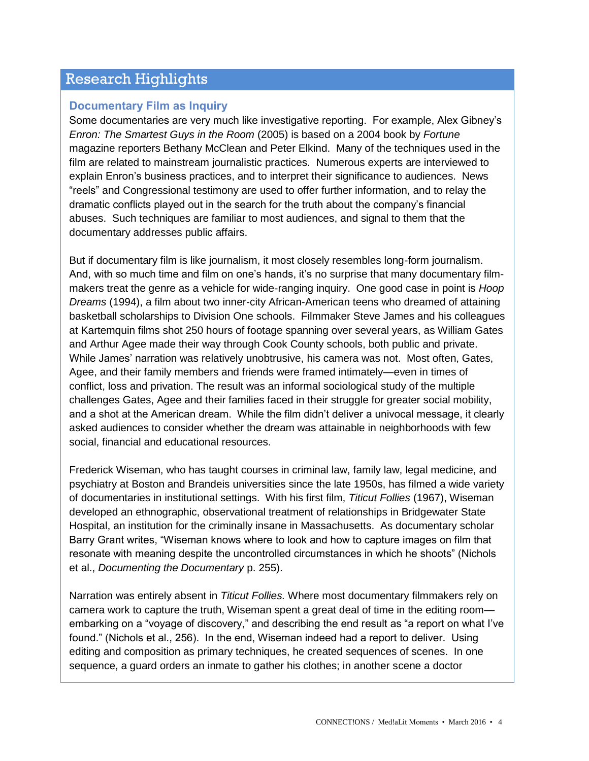# Research Highlights

## **Documentary Film as Inquiry**

Some documentaries are very much like investigative reporting. For example, Alex Gibney's *Enron: The Smartest Guys in the Room* (2005) is based on a 2004 book by *Fortune*  magazine reporters Bethany McClean and Peter Elkind. Many of the techniques used in the film are related to mainstream journalistic practices. Numerous experts are interviewed to explain Enron's business practices, and to interpret their significance to audiences. News "reels" and Congressional testimony are used to offer further information, and to relay the dramatic conflicts played out in the search for the truth about the company's financial abuses. Such techniques are familiar to most audiences, and signal to them that the documentary addresses public affairs.

But if documentary film is like journalism, it most closely resembles long-form journalism. And, with so much time and film on one's hands, it's no surprise that many documentary filmmakers treat the genre as a vehicle for wide-ranging inquiry. One good case in point is *Hoop Dreams* (1994), a film about two inner-city African-American teens who dreamed of attaining basketball scholarships to Division One schools. Filmmaker Steve James and his colleagues at Kartemquin films shot 250 hours of footage spanning over several years, as William Gates and Arthur Agee made their way through Cook County schools, both public and private. While James' narration was relatively unobtrusive, his camera was not. Most often, Gates, Agee, and their family members and friends were framed intimately—even in times of conflict, loss and privation. The result was an informal sociological study of the multiple challenges Gates, Agee and their families faced in their struggle for greater social mobility, and a shot at the American dream. While the film didn't deliver a univocal message, it clearly asked audiences to consider whether the dream was attainable in neighborhoods with few social, financial and educational resources.

Frederick Wiseman, who has taught courses in criminal law, family law, legal medicine, and psychiatry at Boston and Brandeis universities since the late 1950s, has filmed a wide variety of documentaries in institutional settings. With his first film, *Titicut Follies* (1967), Wiseman developed an ethnographic, observational treatment of relationships in Bridgewater State Hospital, an institution for the criminally insane in Massachusetts. As documentary scholar Barry Grant writes, "Wiseman knows where to look and how to capture images on film that resonate with meaning despite the uncontrolled circumstances in which he shoots" (Nichols et al., *Documenting the Documentary* p. 255).

Narration was entirely absent in *Titicut Follies.* Where most documentary filmmakers rely on camera work to capture the truth, Wiseman spent a great deal of time in the editing room embarking on a "voyage of discovery," and describing the end result as "a report on what I've found." (Nichols et al., 256). In the end, Wiseman indeed had a report to deliver. Using editing and composition as primary techniques, he created sequences of scenes. In one sequence, a guard orders an inmate to gather his clothes; in another scene a doctor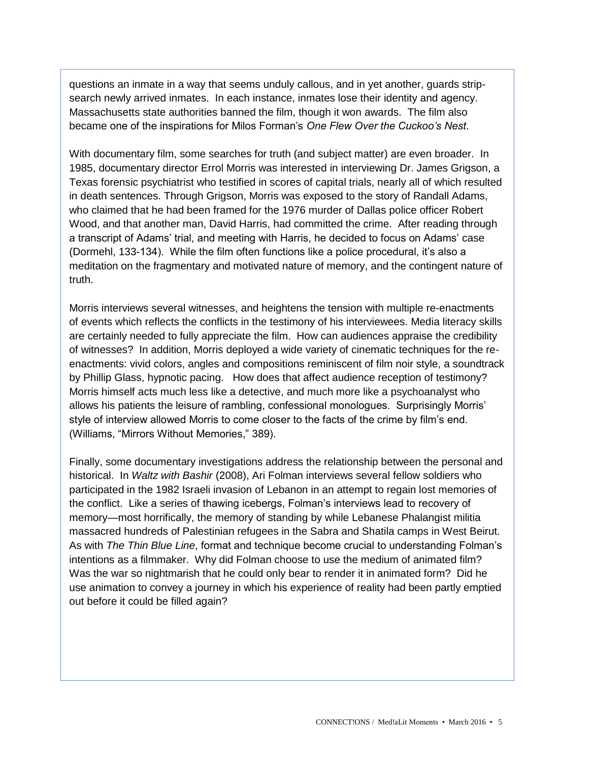questions an inmate in a way that seems unduly callous, and in yet another, guards stripsearch newly arrived inmates. In each instance, inmates lose their identity and agency. Massachusetts state authorities banned the film, though it won awards. The film also became one of the inspirations for Milos Forman's *One Flew Over the Cuckoo's Nest*.

With documentary film, some searches for truth (and subject matter) are even broader. In 1985, documentary director Errol Morris was interested in interviewing Dr. James Grigson, a Texas forensic psychiatrist who testified in scores of capital trials, nearly all of which resulted in death sentences. Through Grigson, Morris was exposed to the story of Randall Adams, who claimed that he had been framed for the 1976 murder of Dallas police officer Robert Wood, and that another man, David Harris, had committed the crime. After reading through a transcript of Adams' trial, and meeting with Harris, he decided to focus on Adams' case (Dormehl, 133-134). While the film often functions like a police procedural, it's also a meditation on the fragmentary and motivated nature of memory, and the contingent nature of truth.

Morris interviews several witnesses, and heightens the tension with multiple re-enactments of events which reflects the conflicts in the testimony of his interviewees. Media literacy skills are certainly needed to fully appreciate the film. How can audiences appraise the credibility of witnesses? In addition, Morris deployed a wide variety of cinematic techniques for the reenactments: vivid colors, angles and compositions reminiscent of film noir style, a soundtrack by Phillip Glass, hypnotic pacing. How does that affect audience reception of testimony? Morris himself acts much less like a detective, and much more like a psychoanalyst who allows his patients the leisure of rambling, confessional monologues. Surprisingly Morris' style of interview allowed Morris to come closer to the facts of the crime by film's end. (Williams, "Mirrors Without Memories," 389).

Finally, some documentary investigations address the relationship between the personal and historical. In *Waltz with Bashir* (2008), Ari Folman interviews several fellow soldiers who participated in the 1982 Israeli invasion of Lebanon in an attempt to regain lost memories of the conflict. Like a series of thawing icebergs, Folman's interviews lead to recovery of memory—most horrifically, the memory of standing by while Lebanese Phalangist militia massacred hundreds of Palestinian refugees in the Sabra and Shatila camps in West Beirut. As with *The Thin Blue Line*, format and technique become crucial to understanding Folman's intentions as a filmmaker. Why did Folman choose to use the medium of animated film? Was the war so nightmarish that he could only bear to render it in animated form? Did he use animation to convey a journey in which his experience of reality had been partly emptied out before it could be filled again?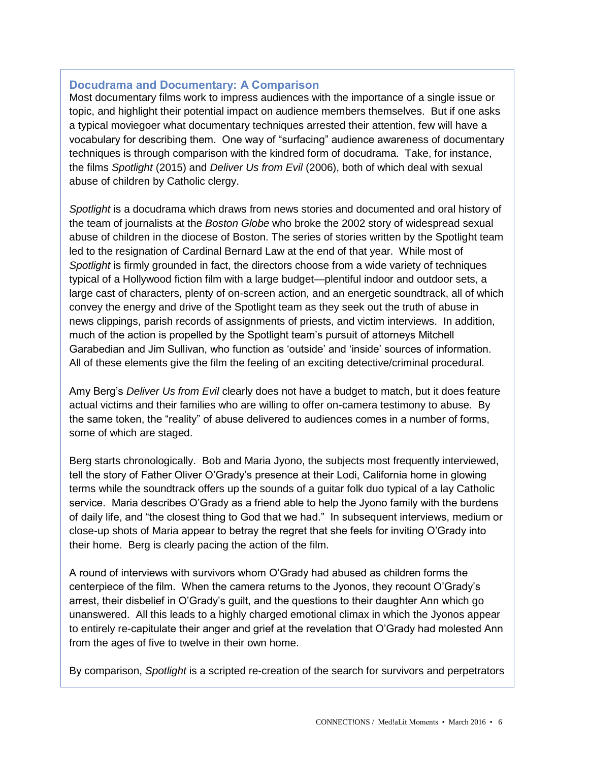## **Docudrama and Documentary: A Comparison**

Most documentary films work to impress audiences with the importance of a single issue or topic, and highlight their potential impact on audience members themselves. But if one asks a typical moviegoer what documentary techniques arrested their attention, few will have a vocabulary for describing them. One way of "surfacing" audience awareness of documentary techniques is through comparison with the kindred form of docudrama. Take, for instance, the films *Spotlight* (2015) and *Deliver Us from Evil* (2006), both of which deal with sexual abuse of children by Catholic clergy.

*Spotlight* is a docudrama which draws from news stories and documented and oral history of the team of journalists at the *Boston Globe* who broke the 2002 story of widespread sexual abuse of children in the diocese of Boston. The series of stories written by the Spotlight team led to the resignation of Cardinal Bernard Law at the end of that year. While most of *Spotlight* is firmly grounded in fact, the directors choose from a wide variety of techniques typical of a Hollywood fiction film with a large budget—plentiful indoor and outdoor sets, a large cast of characters, plenty of on-screen action, and an energetic soundtrack, all of which convey the energy and drive of the Spotlight team as they seek out the truth of abuse in news clippings, parish records of assignments of priests, and victim interviews. In addition, much of the action is propelled by the Spotlight team's pursuit of attorneys Mitchell Garabedian and Jim Sullivan, who function as 'outside' and 'inside' sources of information. All of these elements give the film the feeling of an exciting detective/criminal procedural.

Amy Berg's *Deliver Us from Evil* clearly does not have a budget to match, but it does feature actual victims and their families who are willing to offer on-camera testimony to abuse. By the same token, the "reality" of abuse delivered to audiences comes in a number of forms, some of which are staged.

Berg starts chronologically. Bob and Maria Jyono, the subjects most frequently interviewed, tell the story of Father Oliver O'Grady's presence at their Lodi, California home in glowing terms while the soundtrack offers up the sounds of a guitar folk duo typical of a lay Catholic service. Maria describes O'Grady as a friend able to help the Jyono family with the burdens of daily life, and "the closest thing to God that we had." In subsequent interviews, medium or close-up shots of Maria appear to betray the regret that she feels for inviting O'Grady into their home. Berg is clearly pacing the action of the film.

A round of interviews with survivors whom O'Grady had abused as children forms the centerpiece of the film. When the camera returns to the Jyonos, they recount O'Grady's arrest, their disbelief in O'Grady's guilt, and the questions to their daughter Ann which go unanswered. All this leads to a highly charged emotional climax in which the Jyonos appear to entirely re-capitulate their anger and grief at the revelation that O'Grady had molested Ann from the ages of five to twelve in their own home.

By comparison, *Spotlight* is a scripted re-creation of the search for survivors and perpetrators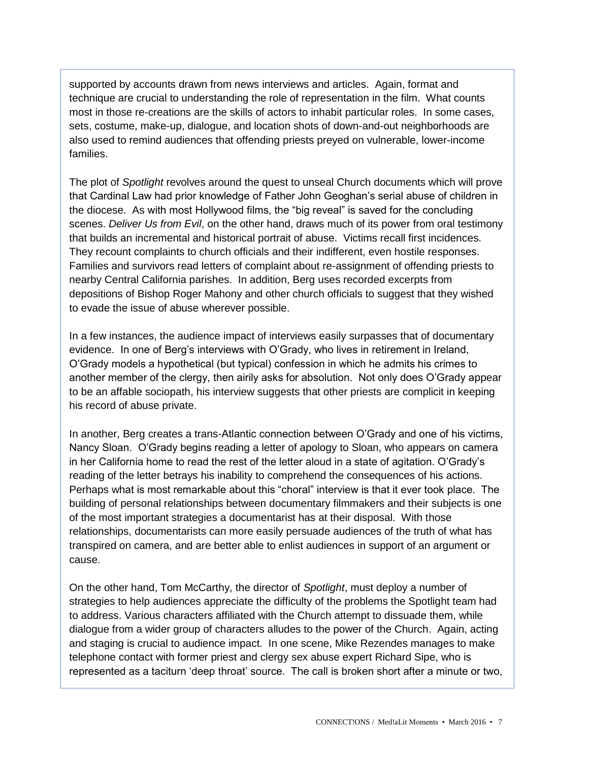supported by accounts drawn from news interviews and articles. Again, format and technique are crucial to understanding the role of representation in the film. What counts most in those re-creations are the skills of actors to inhabit particular roles. In some cases, sets, costume, make-up, dialogue, and location shots of down-and-out neighborhoods are also used to remind audiences that offending priests preyed on vulnerable, lower-income families.

The plot of *Spotlight* revolves around the quest to unseal Church documents which will prove that Cardinal Law had prior knowledge of Father John Geoghan's serial abuse of children in the diocese. As with most Hollywood films, the "big reveal" is saved for the concluding scenes. *Deliver Us from Evil*, on the other hand, draws much of its power from oral testimony that builds an incremental and historical portrait of abuse. Victims recall first incidences. They recount complaints to church officials and their indifferent, even hostile responses. Families and survivors read letters of complaint about re-assignment of offending priests to nearby Central California parishes. In addition, Berg uses recorded excerpts from depositions of Bishop Roger Mahony and other church officials to suggest that they wished to evade the issue of abuse wherever possible.

In a few instances, the audience impact of interviews easily surpasses that of documentary evidence. In one of Berg's interviews with O'Grady, who lives in retirement in Ireland, O'Grady models a hypothetical (but typical) confession in which he admits his crimes to another member of the clergy, then airily asks for absolution. Not only does O'Grady appear to be an affable sociopath, his interview suggests that other priests are complicit in keeping his record of abuse private.

In another, Berg creates a trans-Atlantic connection between O'Grady and one of his victims, Nancy Sloan. O'Grady begins reading a letter of apology to Sloan, who appears on camera in her California home to read the rest of the letter aloud in a state of agitation. O'Grady's reading of the letter betrays his inability to comprehend the consequences of his actions. Perhaps what is most remarkable about this "choral" interview is that it ever took place. The building of personal relationships between documentary filmmakers and their subjects is one of the most important strategies a documentarist has at their disposal. With those relationships, documentarists can more easily persuade audiences of the truth of what has transpired on camera, and are better able to enlist audiences in support of an argument or cause.

On the other hand, Tom McCarthy, the director of *Spotlight*, must deploy a number of strategies to help audiences appreciate the difficulty of the problems the Spotlight team had to address. Various characters affiliated with the Church attempt to dissuade them, while dialogue from a wider group of characters alludes to the power of the Church. Again, acting and staging is crucial to audience impact. In one scene, Mike Rezendes manages to make telephone contact with former priest and clergy sex abuse expert Richard Sipe, who is represented as a taciturn 'deep throat' source. The call is broken short after a minute or two,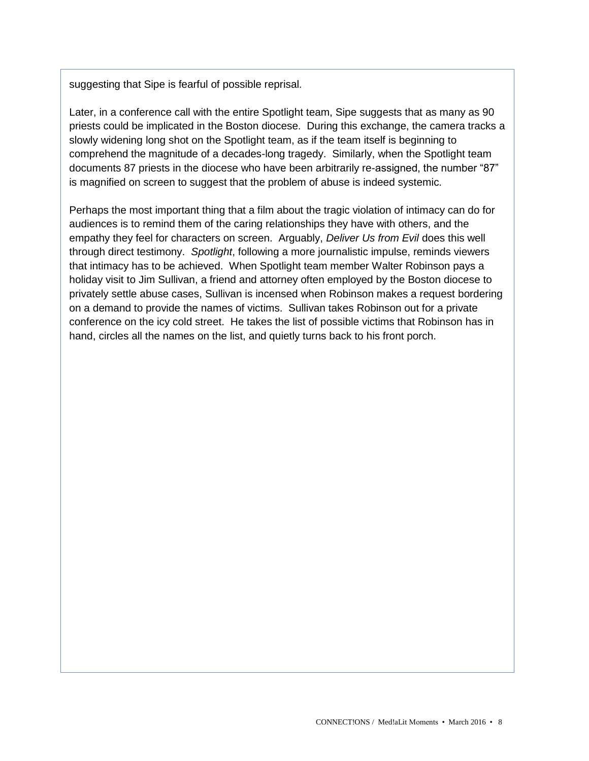suggesting that Sipe is fearful of possible reprisal.

Later, in a conference call with the entire Spotlight team, Sipe suggests that as many as 90 priests could be implicated in the Boston diocese. During this exchange, the camera tracks a slowly widening long shot on the Spotlight team, as if the team itself is beginning to comprehend the magnitude of a decades-long tragedy. Similarly, when the Spotlight team documents 87 priests in the diocese who have been arbitrarily re-assigned, the number "87" is magnified on screen to suggest that the problem of abuse is indeed systemic.

Perhaps the most important thing that a film about the tragic violation of intimacy can do for audiences is to remind them of the caring relationships they have with others, and the empathy they feel for characters on screen. Arguably, *Deliver Us from Evil* does this well through direct testimony. *Spotlight*, following a more journalistic impulse, reminds viewers that intimacy has to be achieved. When Spotlight team member Walter Robinson pays a holiday visit to Jim Sullivan, a friend and attorney often employed by the Boston diocese to privately settle abuse cases, Sullivan is incensed when Robinson makes a request bordering on a demand to provide the names of victims. Sullivan takes Robinson out for a private conference on the icy cold street. He takes the list of possible victims that Robinson has in hand, circles all the names on the list, and quietly turns back to his front porch.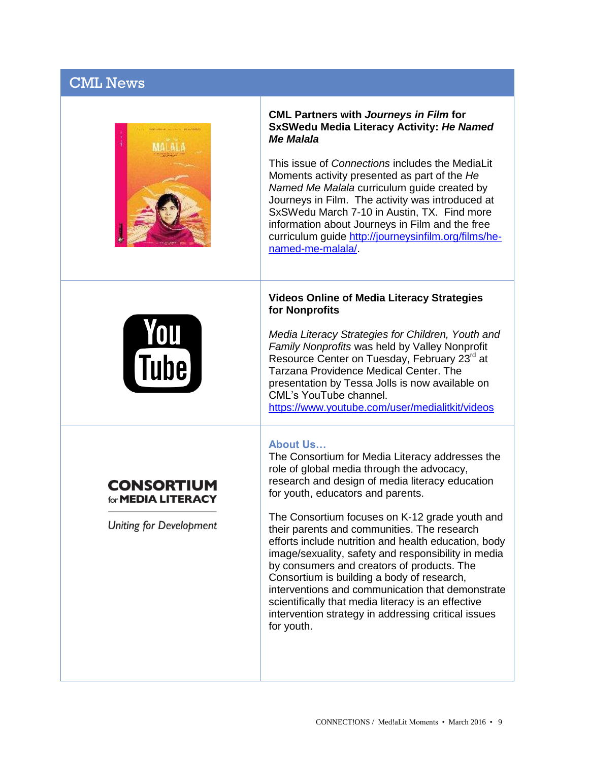# CML News



**CONSORTIUM** for **MEDIA LITERACY** 

Uniting for Development

#### **CML Partners with** *Journeys in Film* **for SxSWedu Media Literacy Activity:** *He Named Me Malala*

This issue of *Connections* includes the MediaLit Moments activity presented as part of the *He Named Me Malala* curriculum guide created by Journeys in Film. The activity was introduced at SxSWedu March 7-10 in Austin, TX. Find more information about Journeys in Film and the free curriculum guide [http://journeysinfilm.org/films/he](http://journeysinfilm.org/films/he-named-me-malala/)[named-me-malala/.](http://journeysinfilm.org/films/he-named-me-malala/)

## **Videos Online of Media Literacy Strategies for Nonprofits**

*Media Literacy Strategies for Children, Youth and Family Nonprofits* was held by Valley Nonprofit Resource Center on Tuesday, February 23<sup>rd</sup> at Tarzana Providence Medical Center. The presentation by Tessa Jolls is now available on CML's YouTube channel.

<https://www.youtube.com/user/medialitkit/videos>

## **About Us…**

The Consortium for Media Literacy addresses the role of global media through the advocacy, research and design of media literacy education for youth, educators and parents.

The Consortium focuses on K-12 grade youth and their parents and communities. The research efforts include nutrition and health education, body image/sexuality, safety and responsibility in media by consumers and creators of products. The Consortium is building a body of research, interventions and communication that demonstrate scientifically that media literacy is an effective intervention strategy in addressing critical issues for youth.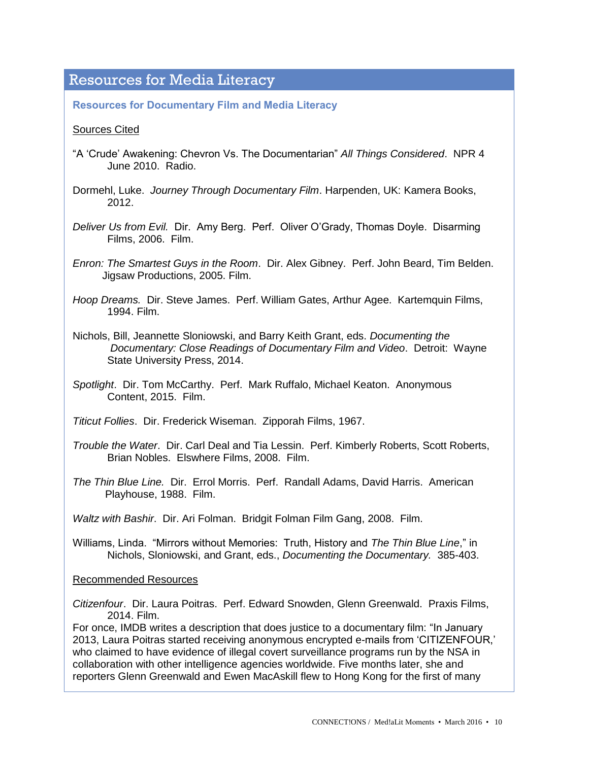# Resources for Media Literacy

**Resources for Documentary Film and Media Literacy** 

#### Sources Cited

- "A 'Crude' Awakening: Chevron Vs. The Documentarian" *All Things Considered*. NPR 4 June 2010. Radio.
- Dormehl, Luke. *Journey Through Documentary Film*. Harpenden, UK: Kamera Books, 2012.
- *Deliver Us from Evil.* Dir. Amy Berg. Perf. Oliver O'Grady, Thomas Doyle. Disarming Films, 2006. Film.
- *Enron: The Smartest Guys in the Room*. Dir. Alex Gibney. Perf. John Beard, Tim Belden. Jigsaw Productions, 2005. Film.
- *Hoop Dreams.* Dir. Steve James. Perf. William Gates, Arthur Agee. Kartemquin Films, 1994. Film.
- Nichols, Bill, Jeannette Sloniowski, and Barry Keith Grant, eds. *Documenting the Documentary: Close Readings of Documentary Film and Video*. Detroit: Wayne State University Press, 2014.
- *Spotlight*. Dir. Tom McCarthy. Perf. Mark Ruffalo, Michael Keaton. Anonymous Content, 2015. Film.
- *Titicut Follies*. Dir. Frederick Wiseman. Zipporah Films, 1967.
- *Trouble the Water*. Dir. Carl Deal and Tia Lessin. Perf. Kimberly Roberts, Scott Roberts, Brian Nobles. Elswhere Films, 2008. Film.
- *The Thin Blue Line.* Dir. Errol Morris. Perf. Randall Adams, David Harris. American Playhouse, 1988. Film.

*Waltz with Bashir*. Dir. Ari Folman. Bridgit Folman Film Gang, 2008. Film.

Williams, Linda. "Mirrors without Memories: Truth, History and *The Thin Blue Line*," in Nichols, Sloniowski, and Grant, eds., *Documenting the Documentary.* 385-403.

#### Recommended Resources

*Citizenfour*. Dir. Laura Poitras. Perf. Edward Snowden, Glenn Greenwald. Praxis Films, 2014. Film.

For once, IMDB writes a description that does justice to a documentary film: "In January 2013, Laura Poitras started receiving anonymous encrypted e-mails from 'CITIZENFOUR,' who claimed to have evidence of illegal covert surveillance programs run by the NSA in collaboration with other intelligence agencies worldwide. Five months later, she and reporters Glenn Greenwald and Ewen MacAskill flew to Hong Kong for the first of many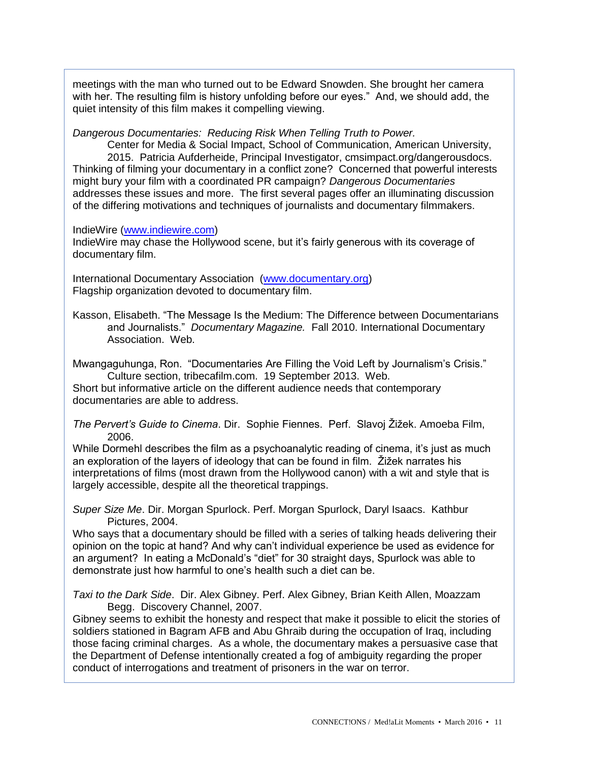meetings with the man who turned out to be Edward Snowden. She brought her camera with her. The resulting film is history unfolding before our eyes." And, we should add, the quiet intensity of this film makes it compelling viewing.

*Dangerous Documentaries: Reducing Risk When Telling Truth to Power.* 

Center for Media & Social Impact, School of Communication, American University, 2015. Patricia Aufderheide, Principal Investigator, cmsimpact.org/dangerousdocs. Thinking of filming your documentary in a conflict zone? Concerned that powerful interests might bury your film with a coordinated PR campaign? *Dangerous Documentaries*  addresses these issues and more. The first several pages offer an illuminating discussion of the differing motivations and techniques of journalists and documentary filmmakers.

#### IndieWire [\(www.indiewire.com\)](http://www.indiewire.com/)

IndieWire may chase the Hollywood scene, but it's fairly generous with its coverage of documentary film.

International Documentary Association [\(www.documentary.org\)](http://www.documentary.org/) Flagship organization devoted to documentary film.

Kasson, Elisabeth. "The Message Is the Medium: The Difference between Documentarians and Journalists." *Documentary Magazine.* Fall 2010. International Documentary Association. Web.

Mwangaguhunga, Ron. "Documentaries Are Filling the Void Left by Journalism's Crisis." Culture section, tribecafilm.com. 19 September 2013. Web.

Short but informative article on the different audience needs that contemporary documentaries are able to address.

*The Pervert's Guide to Cinema*. Dir. Sophie Fiennes. Perf. Slavoj Žižek. Amoeba Film, 2006.

While Dormehl describes the film as a psychoanalytic reading of cinema, it's just as much an exploration of the layers of ideology that can be found in film. Žižek narrates his interpretations of films (most drawn from the Hollywood canon) with a wit and style that is largely accessible, despite all the theoretical trappings.

*Super Size Me*. Dir. Morgan Spurlock. Perf. Morgan Spurlock, Daryl Isaacs. Kathbur Pictures, 2004.

Who says that a documentary should be filled with a series of talking heads delivering their opinion on the topic at hand? And why can't individual experience be used as evidence for an argument? In eating a McDonald's "diet" for 30 straight days, Spurlock was able to demonstrate just how harmful to one's health such a diet can be.

*Taxi to the Dark Side*. Dir. Alex Gibney. Perf. Alex Gibney, Brian Keith Allen, Moazzam Begg. Discovery Channel, 2007.

Gibney seems to exhibit the honesty and respect that make it possible to elicit the stories of soldiers stationed in Bagram AFB and Abu Ghraib during the occupation of Iraq, including those facing criminal charges. As a whole, the documentary makes a persuasive case that the Department of Defense intentionally created a fog of ambiguity regarding the proper conduct of interrogations and treatment of prisoners in the war on terror.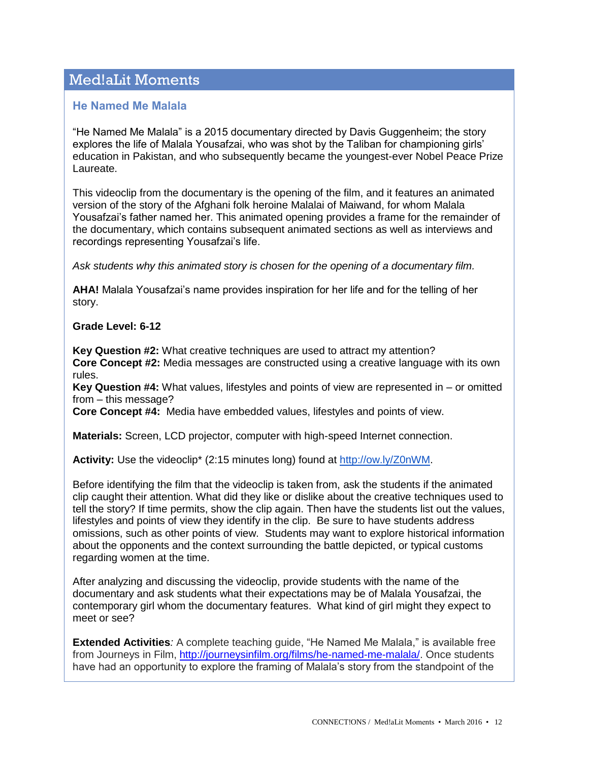# Med!aLit Moments

## **He Named Me Malala**

"He Named Me Malala" is a 2015 documentary directed by Davis Guggenheim; the story explores the life of Malala Yousafzai, who was shot by the Taliban for championing girls' education in Pakistan, and who subsequently became the youngest-ever Nobel Peace Prize Laureate.

This videoclip from the documentary is the opening of the film, and it features an animated version of the story of the Afghani folk heroine Malalai of Maiwand, for whom Malala Yousafzai's father named her. This animated opening provides a frame for the remainder of the documentary, which contains subsequent animated sections as well as interviews and recordings representing Yousafzai's life.

*Ask students why this animated story is chosen for the opening of a documentary film.*

**AHA!** Malala Yousafzai's name provides inspiration for her life and for the telling of her story.

### **Grade Level: 6-12**

**Key Question #2:** What creative techniques are used to attract my attention? **Core Concept #2:** Media messages are constructed using a creative language with its own rules.

**Key Question #4:** What values, lifestyles and points of view are represented in – or omitted from – this message?

**Core Concept #4:** Media have embedded values, lifestyles and points of view.

**Materials:** Screen, LCD projector, computer with high-speed Internet connection.

**Activity:** Use the videoclip\* (2:15 minutes long) found at [http://ow.ly/Z0nWM.](http://ow.ly/Z0nWM)

Before identifying the film that the videoclip is taken from, ask the students if the animated clip caught their attention. What did they like or dislike about the creative techniques used to tell the story? If time permits, show the clip again. Then have the students list out the values, lifestyles and points of view they identify in the clip. Be sure to have students address omissions, such as other points of view. Students may want to explore historical information about the opponents and the context surrounding the battle depicted, or typical customs regarding women at the time.

After analyzing and discussing the videoclip, provide students with the name of the documentary and ask students what their expectations may be of Malala Yousafzai, the contemporary girl whom the documentary features. What kind of girl might they expect to meet or see?

**Extended Activities***:* A complete teaching guide, "He Named Me Malala," is available free from Journeys in Film, [http://journeysinfilm.org/films/he-named-me-malala/.](http://journeysinfilm.org/films/he-named-me-malala/) Once students have had an opportunity to explore the framing of Malala's story from the standpoint of the